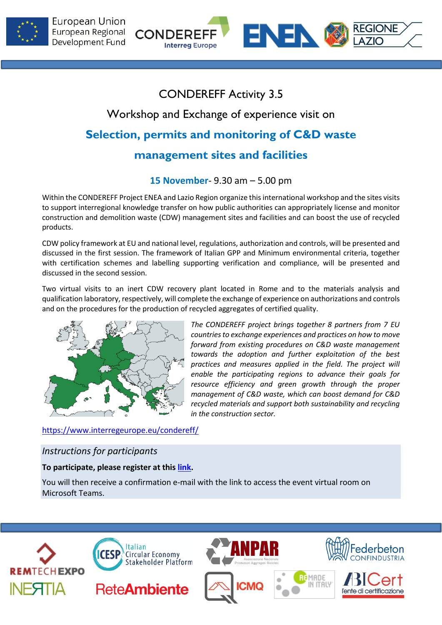



# CONDEREFF Activity 3.5

# Workshop and Exchange of experience visit on

# **Selection, permits and monitoring of C&D waste**

## **management sites and facilities**

## **15 November**- 9.30 am – 5.00 pm

Within the CONDEREFF Project ENEA and Lazio Region organize this international workshop and the sites visits to support interregional knowledge transfer on how public authorities can appropriately license and monitor construction and demolition waste (CDW) management sites and facilities and can boost the use of recycled products.

CDW policy framework at EU and national level, regulations, authorization and controls, will be presented and discussed in the first session. The framework of Italian GPP and Minimum environmental criteria, together with certification schemes and labelling supporting verification and compliance, will be presented and discussed in the second session.

Two virtual visits to an inert CDW recovery plant located in Rome and to the materials analysis and qualification laboratory, respectively, will complete the exchange of experience on authorizations and controls and on the procedures for the production of recycled aggregates of certified quality.



*The CONDEREFF project brings together 8 partners from 7 EU countries to exchange experiences and practices on how to move forward from existing procedures on C&D waste management towards the adoption and further exploitation of the best practices and measures applied in the field. The project will enable the participating regions to advance their goals for resource efficiency and green growth through the proper management of C&D waste, which can boost demand for C&D recycled materials and support both sustainability and recycling in the construction sector.*

## <https://www.interregeurope.eu/condereff/>

## *Instructions for participants*

### **To participate, please register at this [link.](https://teams.microsoft.com/registration/ZErmZHP8PEuSeK97aNZlRA,AutDV5O8x0eOwSrJiX5jmA,Or86_rntZ0Wx25vTnjfMXA,gUonDKM87EyeL5AFreKfeA,pGaVNh4Xck-vtLPgYhuSiA,zQjZ-ZDB602BIPnLzp4cFw?mode=read&tenantId=64e64a64-fc73-4b3c-9278-af7b68d66544)**

You will then receive a confirmation e-mail with the link to access the event virtual room on Microsoft Teams.

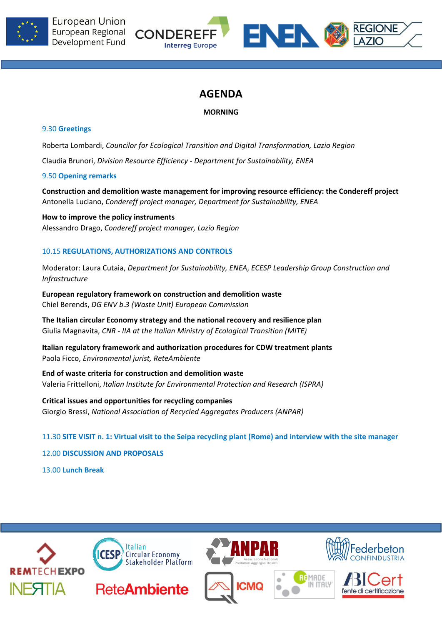



## **AGENDA**

### **MORNING**

### 9.30 **Greetings**

Roberta Lombardi, *Councilor for Ecological Transition and Digital Transformation, Lazio Region*

Claudia Brunori, *Division Resource Efficiency - Department for Sustainability, ENEA*

### 9.50 **Opening remarks**

**Construction and demolition waste management for improving resource efficiency: the Condereff project** Antonella Luciano, *Condereff project manager, Department for Sustainability, ENEA*

**How to improve the policy instruments** Alessandro Drago, *Condereff project manager, Lazio Region*

### 10.15 **REGULATIONS, AUTHORIZATIONS AND CONTROLS**

Moderator: Laura Cutaia, *Department for Sustainability, ENEA*, *ECESP Leadership Group Construction and Infrastructure*

**European regulatory framework on construction and demolition waste** Chiel Berends, *DG ENV b.3 (Waste Unit) European Commission*

**The Italian circular Economy strategy and the national recovery and resilience plan** Giulia Magnavita, *CNR - IIA at the Italian Ministry of Ecological Transition (MITE)*

**Italian regulatory framework and authorization procedures for CDW treatment plants** Paola Ficco, *Environmental jurist, ReteAmbiente*

**End of waste criteria for construction and demolition waste** Valeria Frittelloni, *Italian Institute for Environmental Protection and Research (ISPRA)*

**Critical issues and opportunities for recycling companies** Giorgio Bressi, *National Association of Recycled Aggregates Producers (ANPAR)*

11.30 **SITE VISIT n. 1: Virtual visit to the Seipa recycling plant (Rome) and interview with the site manager**

12.00 **DISCUSSION AND PROPOSALS**

13.00 **Lunch Break**